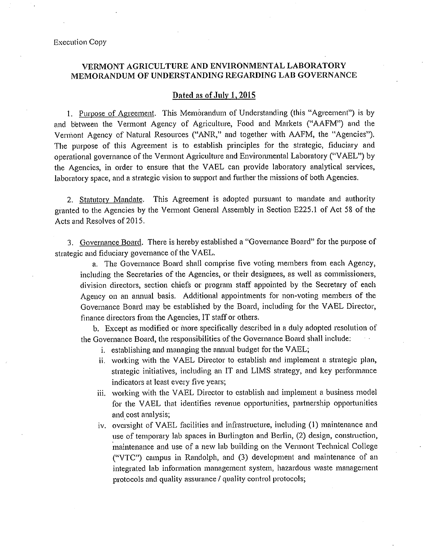# VERMONT AGRICULTURE AND ENVIRONMENTAL LABORATORY MEMORANDUM OF UNDERSTANDING REGARDING LAB GOVERNANCE

## Dated as of July 1,2015

Purpose of Agreement. This Memorandum of Understanding (this "Agreement") is by and between the Vermont Agency of Agriculture, Food and Markets ("AAFM") and the Verniont Agency of Natural Resources ("ANR," and together with AAFM, the "Agencies"). The purpose of this Agreement is to establish principles for the strategic, fiduciary and operational governance of the Vermont Agriculture and Environmental Laboratory ("VAEL") by the Agencies, in order to ensure that the VAEL can provide laboratory analytical services, laboratory space, and a strategic vision to support and further the missions of both Agencies.

2. Statutory Mandate. This Agreement is adopted pursuant to mandate and authority granted to the Agencies by the Vermont General Assembly in Section E225.1 of Act 58 of the Acts and Resolves of 2015.

3. Governance Board, There is hereby established a "Governance Board" for the purpose of strategic and fiduciary governance of the VAEL.

a. The Governance Board shall comprise five voting members from each Agency, including the Secretaries of the Agencies, or their designees, as well as commissioners, division directors, section chiefs or program staff appointed by the Secretary of each Agency on an annual basis. Additional appointments for non-voting members of the Governance Board may be established by the Board, including for the VAEL Director, finance directors from the Agencies, IT staff or others.

b. Except as modified or more specifically described in a duly adopted resolution of the Governance Board, the responsibilities of the Governance Board shall include:

- i. establishing and managing the annual budget for the VAEL;
- ii, working with the VAEL Director to establish and implement a strategic plan, strategic initiatives, including an IT and LIMS strategy, and key performance indicators at least every five years;
- iii. working with the VAEL Director to establish and implement a business model for the VAEL that identifies revenue opportunities, partnership opportunities and cost analysis;
- iv. oversight of VAEL facilities and infrastructure, including (1) maintenance and use of temporary lab spaces in Burlington and Berlin, (2) design, construction, maintenance and use of a new lab building on the Vermont Technical College ("VTC") campus in Randolph, and (3) development and maintenance of an integrated lab information management system, hazardous waste management protocols and quality assurance / quality control protocols;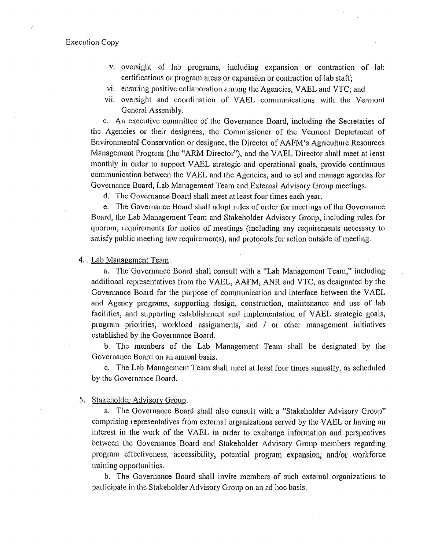- v. oversight of lab programs, including expansion or contraction of lab certifications or program areas or expansion or contraction of lab staff;
- vi. ensuring positive collaboration among the Agencies, VAEL and VTC; and
- vii, oversight and coordination of VAEL communications with the Vermont General Assembly.

c. An executive committee of the Governance Board, including the Secretaries of the Agencies or their designees,. the Commissioner of the Vermont Department of Environmental Conservation or designee, the Director of AAFM's Agriculture Resources Management Program (the "ARM Director"), and the VAEL Director shall meet at least monthly in order to support VAEL strategic and operational goals, provide continuous communication between the VAEL and the Agencies, and to set and manage agendas for Governance Board, Lab Management Team and External Advisory Group meetings.

d. The Governance Board shall meet at least four times each year.

e. The Governance Board shall adopt rules of order for meetings of the Governance Board, the Lab Management Team and Stakeholder Advisory Group, including rules for quorum, requirements for notice of meetings (including any requirements necessary to satisfy public meeting law requirements), and protocols for action outside of meeting.

## 4.. Lab Management Team.

a. The Governance Board shall consult with a "Lab Management Team," including additional representatives from the VAEL, AAFM, ANR and VTC, as designated by the Governance Board for the purpose of communication and interface between the VAEL and Agency programs, supporting design, construction, maintenance and use of lab facilities, and supporting establishment and implementation of VAEL strategic goals, program priorities, workload assignments, and / or other management initiatives established by the Governance Board.

b. The members of the Lab Management Team shall be designated by the Governance Board on an annual basis.

c. The Lab Management Team shall meet at least four times annually, as scheduled by the Governance Board.

#### 5. Stakeholder Advisory Group.

a. The Governance Board shall also consult with a "Stakeholder Advisory Group" comprising representatives from external organizations served by the VAEL or having an interest in the work of the VAEL in order to exchange information and perspectives between the Governance Board and Stakeholder Advisory Group members regarding program effectiveness, accessibility, potential program expansion; and/or workforce training opportunities.

b. The Governance Board shall invite members of such external organizations to participate in the Stakeholder Advisory Group on an ad hoc basis.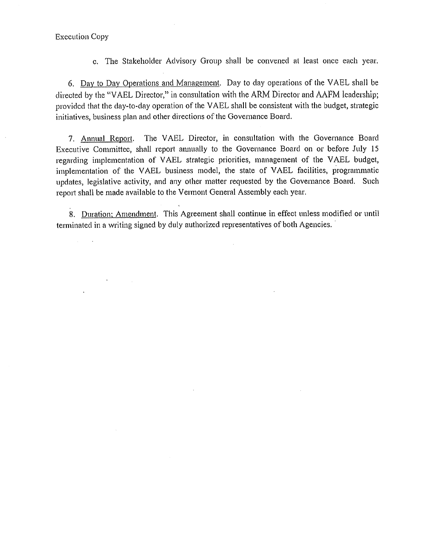## Execution Copy

 $\mathcal{A}^{\text{max}}$  and

 $\sim 10^4$ 

c. The Stakeholder Advisory Group shall be convened at least once each year.

6. Day to Day Operations and Management. Day to day operations of the VAEL shall be directed by the "VAEL Director," in consultation with the ARM Director and AAFM leadership; provided that the day-to-day operation of the VAEL shall be consistent with the budget, strategic initiatives, business plan and other directions of the Governance Board.

7. Annual Report. The VAEL Director, in consultation with the Governance Board Executive Committee, shall report annually to the Governance Board on or before July 15 regarding implementation of VAEL strategic priorities, management of the VAEL budget, implementation of the VAEL business model, the state of VAEL facilities, programmatic updates, legislative activity, and any other matter requested by the Governance Board. Such report shall be made available to the Vermont General Assembly each year.

8. Duration; Amendment. This Agreement shall continue in effect unless modified or until terminated in a writing signed by duly authorized representatives of both Agencies. •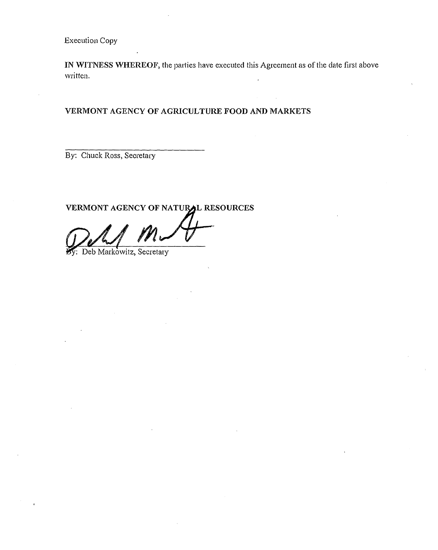Execution Copy

IN WITNESS WHEREOF, the parties have executed this Agreement as of the date first above written.

VERMONT AGENCY OF AGRICULTURE FOOD AND MARKETS

By: Chuck Ross, Secretary

VERMONT AGENCY OF NATURAL RESOURCES

y: Deb Markowitz, Secretary